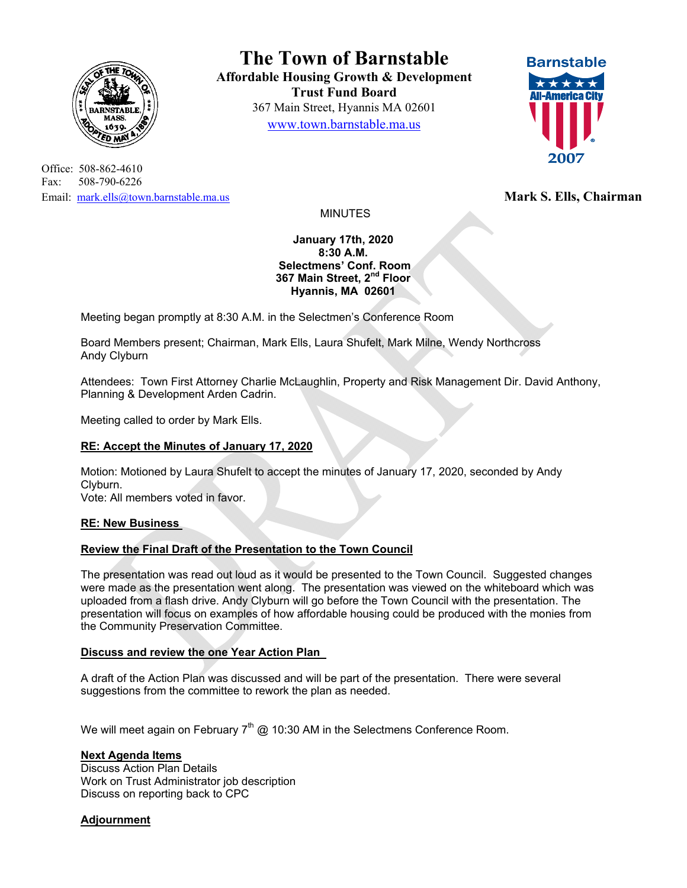

Office: 508-862-4610 Fax: 508-790-6226 Email: mark.ells@town.barnstable.ma.us **Mark S. Ells, Chairman Mark S. Ells, Chairman** 

**The Town of Barnstable Affordable Housing Growth & Development Trust Fund Board**  367 Main Street, Hyannis MA 02601 www.town.barnstable.ma.us



MINUTES

**January 17th, 2020 8:30 A.M. Selectmens' Conf. Room 367 Main Street, 2nd Floor Hyannis, MA 02601** 

Meeting began promptly at 8:30 A.M. in the Selectmen's Conference Room

Board Members present; Chairman, Mark Ells, Laura Shufelt, Mark Milne, Wendy Northcross Andy Clyburn

Attendees: Town First Attorney Charlie McLaughlin, Property and Risk Management Dir. David Anthony, Planning & Development Arden Cadrin.

Meeting called to order by Mark Ells.

# **RE: Accept the Minutes of January 17, 2020**

Motion: Motioned by Laura Shufelt to accept the minutes of January 17, 2020, seconded by Andy Clyburn.

Vote: All members voted in favor.

### **RE: New Business**

# **Review the Final Draft of the Presentation to the Town Council**

The presentation was read out loud as it would be presented to the Town Council. Suggested changes were made as the presentation went along. The presentation was viewed on the whiteboard which was uploaded from a flash drive. Andy Clyburn will go before the Town Council with the presentation. The presentation will focus on examples of how affordable housing could be produced with the monies from the Community Preservation Committee.

# **Discuss and review the one Year Action Plan**

A draft of the Action Plan was discussed and will be part of the presentation. There were several suggestions from the committee to rework the plan as needed.

We will meet again on February  $7<sup>th</sup>$  @ 10:30 AM in the Selectmens Conference Room.

# **Next Agenda Items**

Discuss Action Plan Details Work on Trust Administrator job description Discuss on reporting back to CPC

# **Adjournment**